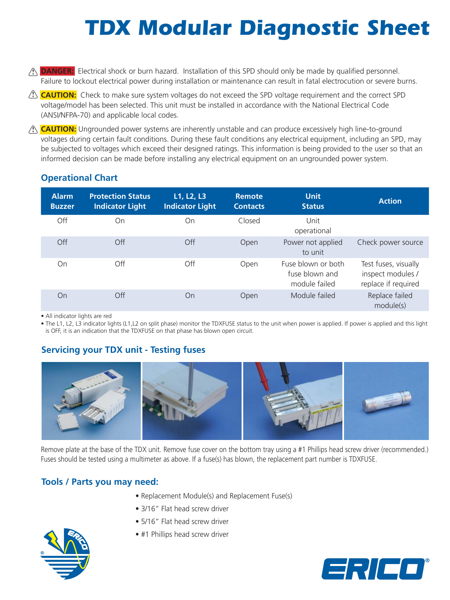# *TDX Modular Diagnostic Sheet*

- $\Omega$  **DANGER:** Electrical shock or burn hazard. Installation of this SPD should only be made by qualified personnel. Failure to lockout electrical power during installation or maintenance can result in fatal electrocution or severe burns.
- **CAUTION:** Check to make sure system voltages do not exceed the SPD voltage requirement and the correct SPD **!** voltage/model has been selected. This unit must be installed in accordance with the National Electrical Code (ANSI/NFPA-70) and applicable local codes.
- **CAUTION:** Ungrounded power systems are inherently unstable and can produce excessively high line-to-ground **!** voltages during certain fault conditions. During these fault conditions any electrical equipment, including an SPD, may be subjected to voltages which exceed their designed ratings. This information is being provided to the user so that an informed decision can be made before installing any electrical equipment on an ungrounded power system.

| <b>Alarm</b><br><b>Buzzer</b> | <b>Protection Status</b><br><b>Indicator Light</b> | L1, L2, L3<br><b>Indicator Light</b> | <b>Remote</b><br><b>Contacts</b>                      | <b>Unit</b><br><b>Status</b>                                     | <b>Action</b>               |
|-------------------------------|----------------------------------------------------|--------------------------------------|-------------------------------------------------------|------------------------------------------------------------------|-----------------------------|
| Off                           | On                                                 | On                                   | Closed<br>Unit                                        | operational                                                      |                             |
| Off                           | Off                                                | Off                                  | Open                                                  | Power not applied<br>to unit                                     | Check power source          |
| On                            | Off                                                | Off<br>Open                          | Fuse blown or both<br>fuse blown and<br>module failed | Test fuses, visually<br>inspect modules /<br>replace if required |                             |
| On                            | Off                                                | On                                   | Open                                                  | Module failed                                                    | Replace failed<br>module(s) |

## **Operational Chart**

• All indicator lights are red

• The L1, L2, L3 indicator lights (L1,L2 on split phase) monitor the TDXFUSE status to the unit when power is applied. If power is applied and this light is OFF, it is an indication that the TDXFUSE on that phase has blown open circuit.

# **Servicing your TDX unit - Testing fuses**



Remove plate at the base of the TDX unit. Remove fuse cover on the bottom tray using a #1 Phillips head screw driver (recommended.) Fuses should be tested using a multimeter as above. If a fuse(s) has blown, the replacement part number is TDXFUSE.

## **Tools / Parts you may need:**

- Replacement Module(s) and Replacement Fuse(s)
- 3/16" Flat head screw driver
- 5/16" Flat head screw driver
- #1 Phillips head screw driver